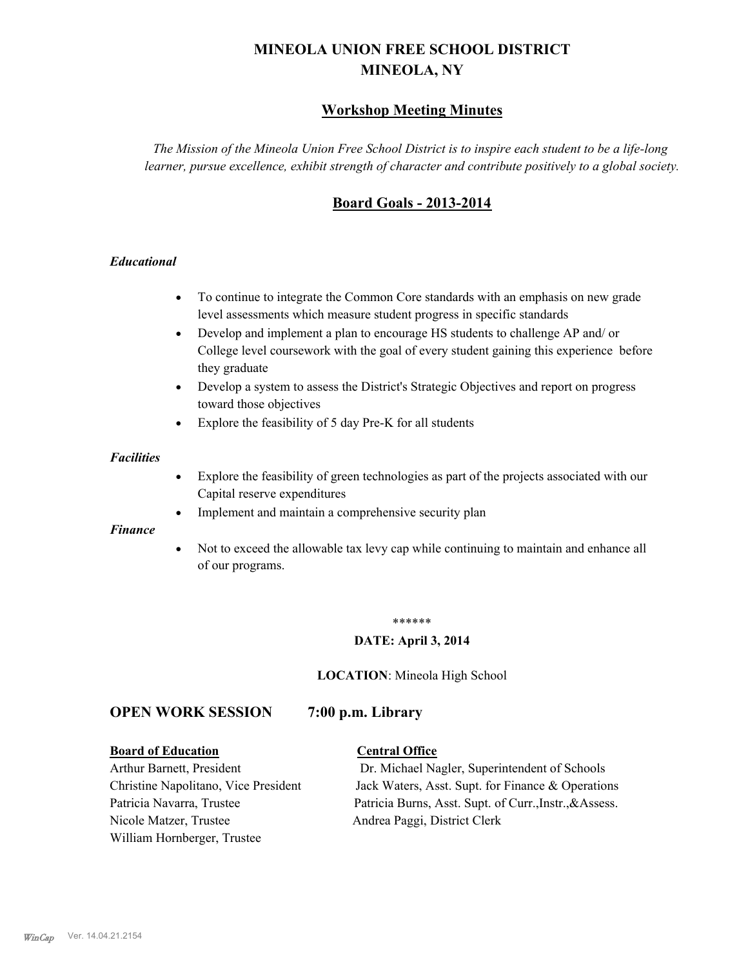# **MINEOLA UNION FREE SCHOOL DISTRICT MINEOLA, NY**

# **Workshop Meeting Minutes**

*The Mission of the Mineola Union Free School District is to inspire each student to be a life-long learner, pursue excellence, exhibit strength of character and contribute positively to a global society.*

# **Board Goals - 2013-2014**

## *Educational*

- · To continue to integrate the Common Core standards with an emphasis on new grade level assessments which measure student progress in specific standards
- · Develop and implement a plan to encourage HS students to challenge AP and/ or College level coursework with the goal of every student gaining this experience before they graduate
- Develop a system to assess the District's Strategic Objectives and report on progress toward those objectives
- · Explore the feasibility of 5 day Pre-K for all students

#### *Facilities*

- · Explore the feasibility of green technologies as part of the projects associated with our Capital reserve expenditures
- Implement and maintain a comprehensive security plan

#### *Finance*

• Not to exceed the allowable tax levy cap while continuing to maintain and enhance all of our programs.

#### \*\*\*\*\*\*

#### **DATE: April 3, 2014**

**LOCATION**: Mineola High School

# **OPEN WORK SESSION 7:00 p.m. Library**

#### **Board of Education Central Office**

Nicole Matzer, Trustee Andrea Paggi, District Clerk William Hornberger, Trustee

Arthur Barnett, President Dr. Michael Nagler, Superintendent of Schools Christine Napolitano, Vice President Jack Waters, Asst. Supt. for Finance & Operations Patricia Navarra, Trustee Patricia Burns, Asst. Supt. of Curr., Instr., &Assess.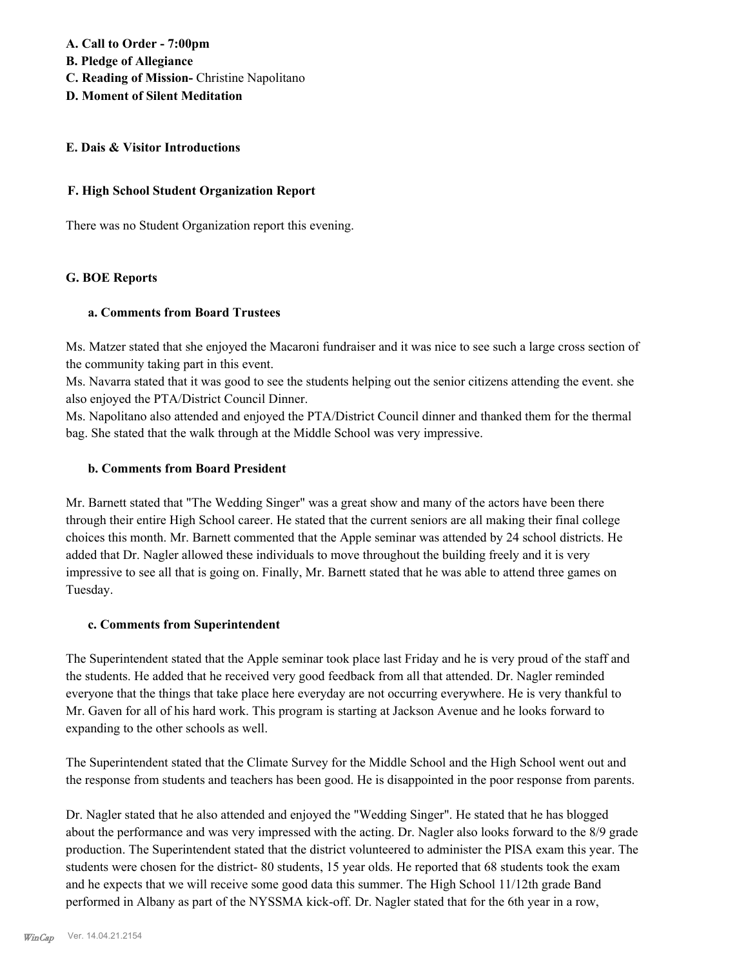**A. Call to Order - 7:00pm**

**B. Pledge of Allegiance**

- **C. Reading of Mission-** Christine Napolitano
- **D. Moment of Silent Meditation**

#### **E. Dais & Visitor Introductions**

#### **F. High School Student Organization Report**

There was no Student Organization report this evening.

## **G. BOE Reports**

## **a. Comments from Board Trustees**

Ms. Matzer stated that she enjoyed the Macaroni fundraiser and it was nice to see such a large cross section of the community taking part in this event.

Ms. Navarra stated that it was good to see the students helping out the senior citizens attending the event. she also enjoyed the PTA/District Council Dinner.

Ms. Napolitano also attended and enjoyed the PTA/District Council dinner and thanked them for the thermal bag. She stated that the walk through at the Middle School was very impressive.

#### **b. Comments from Board President**

Mr. Barnett stated that "The Wedding Singer" was a great show and many of the actors have been there through their entire High School career. He stated that the current seniors are all making their final college choices this month. Mr. Barnett commented that the Apple seminar was attended by 24 school districts. He added that Dr. Nagler allowed these individuals to move throughout the building freely and it is very impressive to see all that is going on. Finally, Mr. Barnett stated that he was able to attend three games on Tuesday.

## **c. Comments from Superintendent**

The Superintendent stated that the Apple seminar took place last Friday and he is very proud of the staff and the students. He added that he received very good feedback from all that attended. Dr. Nagler reminded everyone that the things that take place here everyday are not occurring everywhere. He is very thankful to Mr. Gaven for all of his hard work. This program is starting at Jackson Avenue and he looks forward to expanding to the other schools as well.

The Superintendent stated that the Climate Survey for the Middle School and the High School went out and the response from students and teachers has been good. He is disappointed in the poor response from parents.

Dr. Nagler stated that he also attended and enjoyed the "Wedding Singer". He stated that he has blogged about the performance and was very impressed with the acting. Dr. Nagler also looks forward to the 8/9 grade production. The Superintendent stated that the district volunteered to administer the PISA exam this year. The students were chosen for the district- 80 students, 15 year olds. He reported that 68 students took the exam and he expects that we will receive some good data this summer. The High School 11/12th grade Band performed in Albany as part of the NYSSMA kick-off. Dr. Nagler stated that for the 6th year in a row,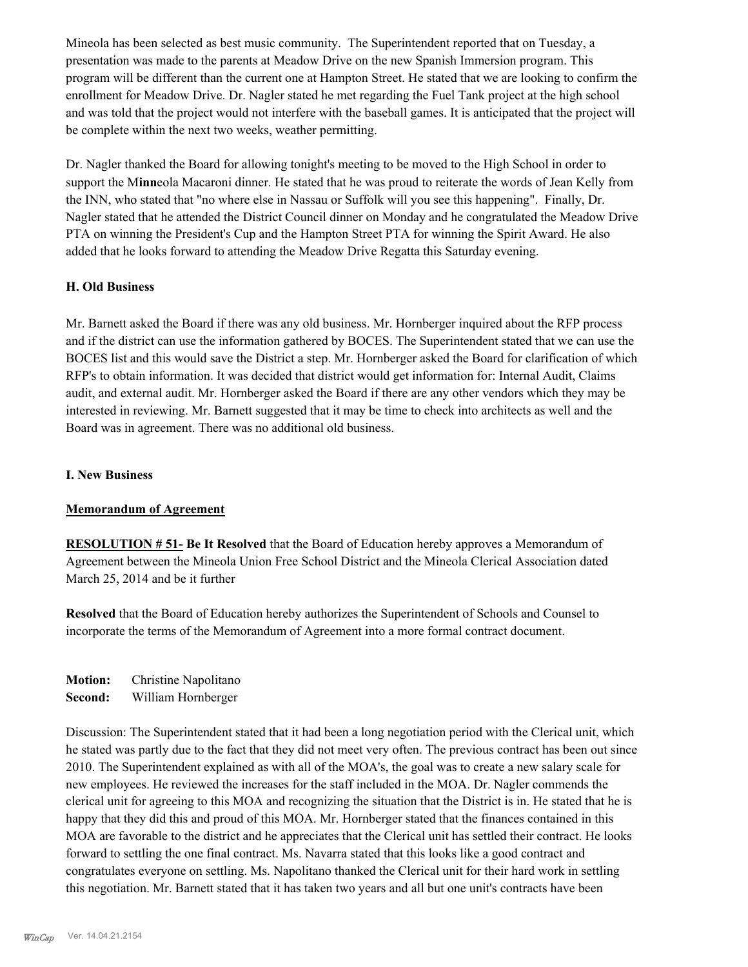Mineola has been selected as best music community. The Superintendent reported that on Tuesday, a presentation was made to the parents at Meadow Drive on the new Spanish Immersion program. This program will be different than the current one at Hampton Street. He stated that we are looking to confirm the enrollment for Meadow Drive. Dr. Nagler stated he met regarding the Fuel Tank project at the high school and was told that the project would not interfere with the baseball games. It is anticipated that the project will be complete within the next two weeks, weather permitting.

Dr. Nagler thanked the Board for allowing tonight's meeting to be moved to the High School in order to support the M**inn**eola Macaroni dinner. He stated that he was proud to reiterate the words of Jean Kelly from the INN, who stated that "no where else in Nassau or Suffolk will you see this happening". Finally, Dr. Nagler stated that he attended the District Council dinner on Monday and he congratulated the Meadow Drive PTA on winning the President's Cup and the Hampton Street PTA for winning the Spirit Award. He also added that he looks forward to attending the Meadow Drive Regatta this Saturday evening.

#### **H. Old Business**

Mr. Barnett asked the Board if there was any old business. Mr. Hornberger inquired about the RFP process and if the district can use the information gathered by BOCES. The Superintendent stated that we can use the BOCES list and this would save the District a step. Mr. Hornberger asked the Board for clarification of which RFP's to obtain information. It was decided that district would get information for: Internal Audit, Claims audit, and external audit. Mr. Hornberger asked the Board if there are any other vendors which they may be interested in reviewing. Mr. Barnett suggested that it may be time to check into architects as well and the Board was in agreement. There was no additional old business.

#### **I. New Business**

## **Memorandum of Agreement**

**RESOLUTION # 51- Be It Resolved** that the Board of Education hereby approves a Memorandum of Agreement between the Mineola Union Free School District and the Mineola Clerical Association dated March 25, 2014 and be it further

**Resolved** that the Board of Education hereby authorizes the Superintendent of Schools and Counsel to incorporate the terms of the Memorandum of Agreement into a more formal contract document.

**Motion:** Christine Napolitano **Second:** William Hornberger

Discussion: The Superintendent stated that it had been a long negotiation period with the Clerical unit, which he stated was partly due to the fact that they did not meet very often. The previous contract has been out since 2010. The Superintendent explained as with all of the MOA's, the goal was to create a new salary scale for new employees. He reviewed the increases for the staff included in the MOA. Dr. Nagler commends the clerical unit for agreeing to this MOA and recognizing the situation that the District is in. He stated that he is happy that they did this and proud of this MOA. Mr. Hornberger stated that the finances contained in this MOA are favorable to the district and he appreciates that the Clerical unit has settled their contract. He looks forward to settling the one final contract. Ms. Navarra stated that this looks like a good contract and congratulates everyone on settling. Ms. Napolitano thanked the Clerical unit for their hard work in settling this negotiation. Mr. Barnett stated that it has taken two years and all but one unit's contracts have been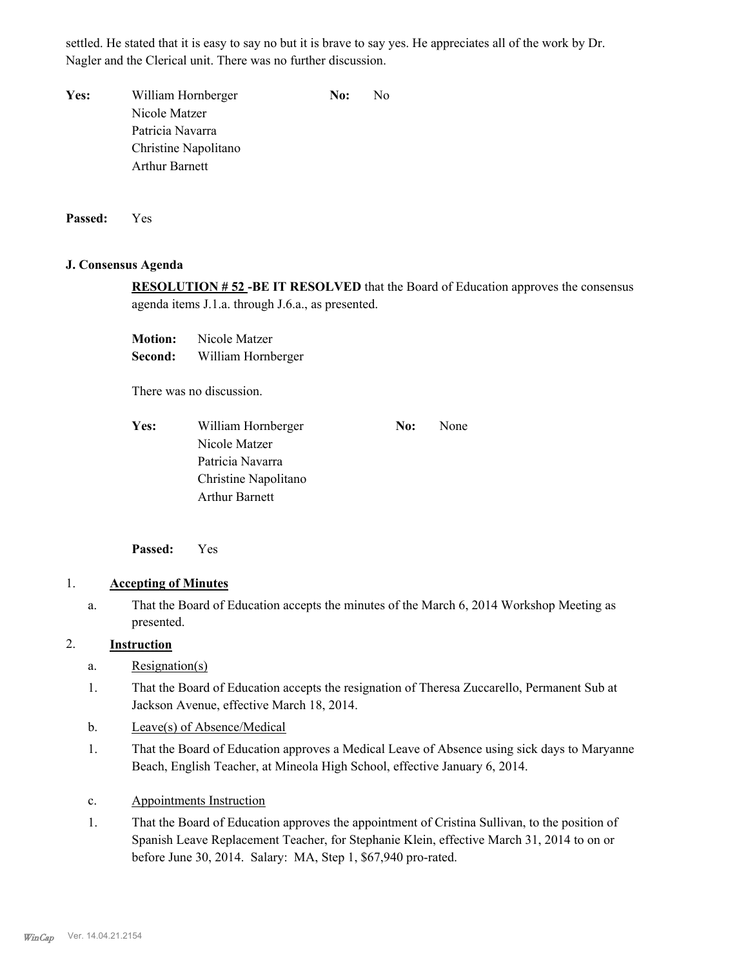settled. He stated that it is easy to say no but it is brave to say yes. He appreciates all of the work by Dr. Nagler and the Clerical unit. There was no further discussion.

**Yes:** William Hornberger **No:** No Nicole Matzer Patricia Navarra Christine Napolitano Arthur Barnett

**Passed:** Yes

#### **J. Consensus Agenda**

**RESOLUTION # 52 -BE IT RESOLVED** that the Board of Education approves the consensus agenda items J.1.a. through J.6.a., as presented.

**Motion:** Nicole Matzer **Second:** William Hornberger

There was no discussion.

Yes: William Hornberger **No:** None Nicole Matzer Patricia Navarra Christine Napolitano Arthur Barnett

**Passed:** Yes

# 1. **Accepting of Minutes**

That the Board of Education accepts the minutes of the March 6, 2014 Workshop Meeting as presented. a.

# 2. **Instruction**

- a. Resignation(s)
- That the Board of Education accepts the resignation of Theresa Zuccarello, Permanent Sub at Jackson Avenue, effective March 18, 2014. 1.
- b. Leave(s) of Absence/Medical
- That the Board of Education approves a Medical Leave of Absence using sick days to Maryanne Beach, English Teacher, at Mineola High School, effective January 6, 2014. 1.
- c. Appointments Instruction
- That the Board of Education approves the appointment of Cristina Sullivan, to the position of Spanish Leave Replacement Teacher, for Stephanie Klein, effective March 31, 2014 to on or before June 30, 2014. Salary: MA, Step 1, \$67,940 pro-rated. 1.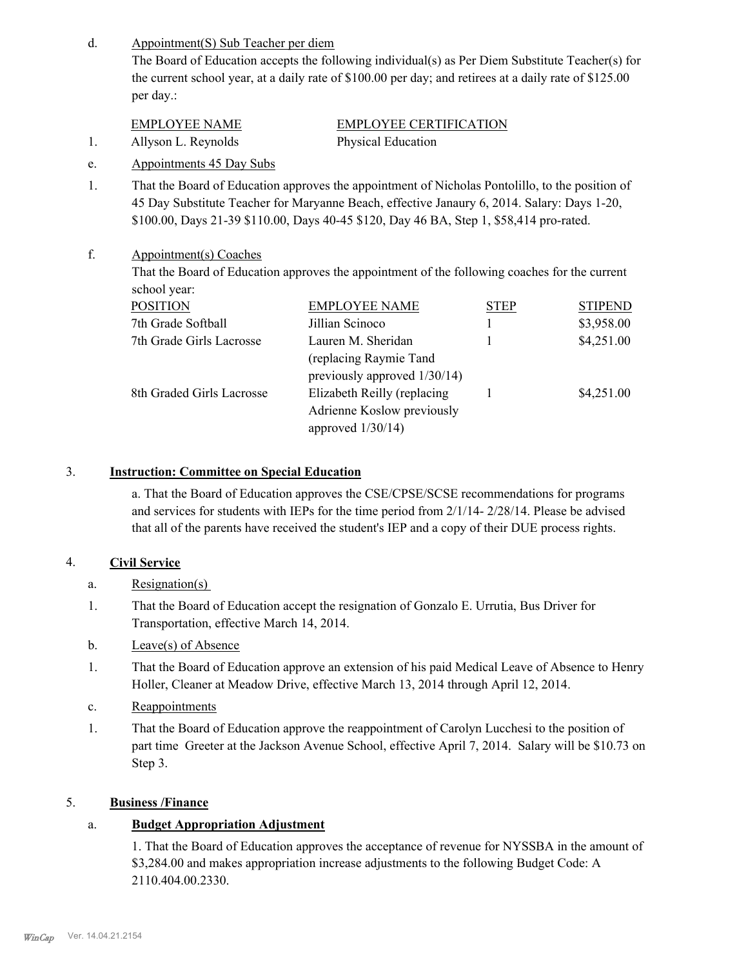Appointment(S) Sub Teacher per diem d.

> The Board of Education accepts the following individual(s) as Per Diem Substitute Teacher(s) for the current school year, at a daily rate of \$100.00 per day; and retirees at a daily rate of \$125.00 per day.:

| <b>EMPLOYEE NAME</b> | EMPLOYEE CERTIFICATION |
|----------------------|------------------------|
| Allyson L. Reynolds  | Physical Education     |

- e. Appointments 45 Day Subs
- That the Board of Education approves the appointment of Nicholas Pontolillo, to the position of 45 Day Substitute Teacher for Maryanne Beach, effective Janaury 6, 2014. Salary: Days 1-20, \$100.00, Days 21-39 \$110.00, Days 40-45 \$120, Day 46 BA, Step 1, \$58,414 pro-rated. 1.

#### Appointment(s) Coaches f.

That the Board of Education approves the appointment of the following coaches for the current school year:

| <b>POSITION</b>           | <b>EMPLOYEE NAME</b>         | <b>STEP</b> | <b>STIPEND</b> |
|---------------------------|------------------------------|-------------|----------------|
| 7th Grade Softball        | Jillian Scinoco              |             | \$3,958.00     |
| 7th Grade Girls Lacrosse  | Lauren M. Sheridan           |             | \$4,251.00     |
|                           | (replacing Raymie Tand)      |             |                |
|                           | previously approved 1/30/14) |             |                |
| 8th Graded Girls Lacrosse | Elizabeth Reilly (replacing  |             | \$4,251.00     |
|                           | Adrienne Koslow previously   |             |                |
|                           | approved $1/30/14$ )         |             |                |

## 3. **Instruction: Committee on Special Education**

a. That the Board of Education approves the CSE/CPSE/SCSE recommendations for programs and services for students with IEPs for the time period from 2/1/14- 2/28/14. Please be advised that all of the parents have received the student's IEP and a copy of their DUE process rights.

# 4. **Civil Service**

- a. Resignation(s)
- That the Board of Education accept the resignation of Gonzalo E. Urrutia, Bus Driver for Transportation, effective March 14, 2014. 1.
- b. Leave(s) of Absence
- That the Board of Education approve an extension of his paid Medical Leave of Absence to Henry Holler, Cleaner at Meadow Drive, effective March 13, 2014 through April 12, 2014. 1.
- c. Reappointments
- That the Board of Education approve the reappointment of Carolyn Lucchesi to the position of part time Greeter at the Jackson Avenue School, effective April 7, 2014. Salary will be \$10.73 on Step 3. 1.

# 5. **Business /Finance**

# a. **Budget Appropriation Adjustment**

1. That the Board of Education approves the acceptance of revenue for NYSSBA in the amount of \$3,284.00 and makes appropriation increase adjustments to the following Budget Code: A 2110.404.00.2330.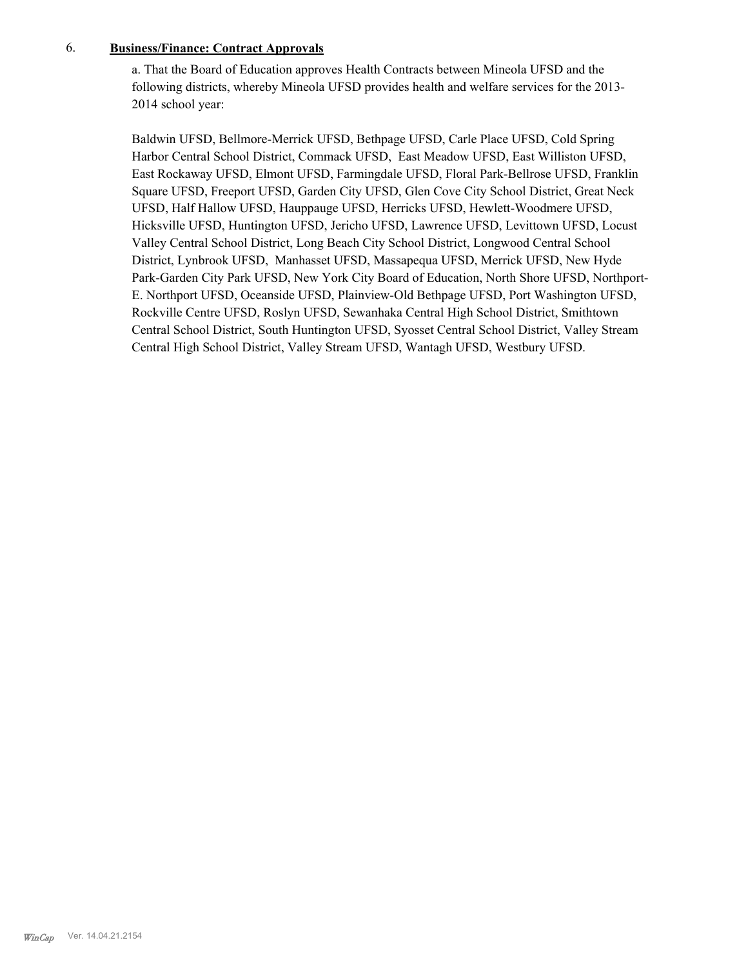## 6. **Business/Finance: Contract Approvals**

a. That the Board of Education approves Health Contracts between Mineola UFSD and the following districts, whereby Mineola UFSD provides health and welfare services for the 2013- 2014 school year:

Baldwin UFSD, Bellmore-Merrick UFSD, Bethpage UFSD, Carle Place UFSD, Cold Spring Harbor Central School District, Commack UFSD, East Meadow UFSD, East Williston UFSD, East Rockaway UFSD, Elmont UFSD, Farmingdale UFSD, Floral Park-Bellrose UFSD, Franklin Square UFSD, Freeport UFSD, Garden City UFSD, Glen Cove City School District, Great Neck UFSD, Half Hallow UFSD, Hauppauge UFSD, Herricks UFSD, Hewlett-Woodmere UFSD, Hicksville UFSD, Huntington UFSD, Jericho UFSD, Lawrence UFSD, Levittown UFSD, Locust Valley Central School District, Long Beach City School District, Longwood Central School District, Lynbrook UFSD, Manhasset UFSD, Massapequa UFSD, Merrick UFSD, New Hyde Park-Garden City Park UFSD, New York City Board of Education, North Shore UFSD, Northport-E. Northport UFSD, Oceanside UFSD, Plainview-Old Bethpage UFSD, Port Washington UFSD, Rockville Centre UFSD, Roslyn UFSD, Sewanhaka Central High School District, Smithtown Central School District, South Huntington UFSD, Syosset Central School District, Valley Stream Central High School District, Valley Stream UFSD, Wantagh UFSD, Westbury UFSD.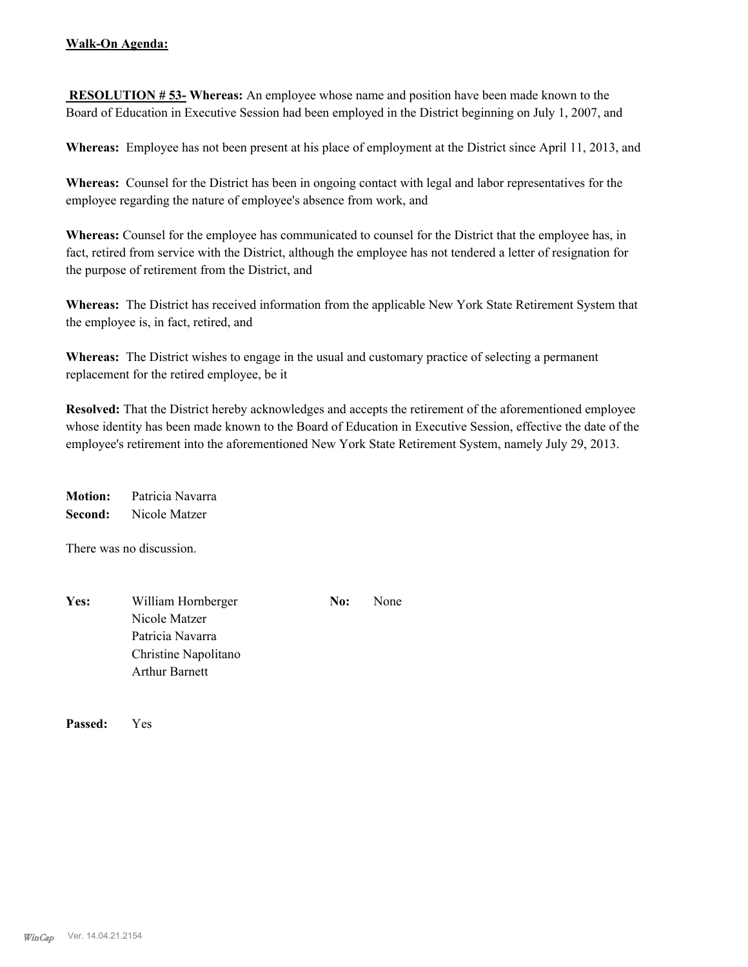## **Walk-On Agenda:**

 **RESOLUTION # 53- Whereas:** An employee whose name and position have been made known to the Board of Education in Executive Session had been employed in the District beginning on July 1, 2007, and

**Whereas:** Employee has not been present at his place of employment at the District since April 11, 2013, and

**Whereas:** Counsel for the District has been in ongoing contact with legal and labor representatives for the employee regarding the nature of employee's absence from work, and

**Whereas:** Counsel for the employee has communicated to counsel for the District that the employee has, in fact, retired from service with the District, although the employee has not tendered a letter of resignation for the purpose of retirement from the District, and

**Whereas:** The District has received information from the applicable New York State Retirement System that the employee is, in fact, retired, and

**Whereas:** The District wishes to engage in the usual and customary practice of selecting a permanent replacement for the retired employee, be it

**Resolved:** That the District hereby acknowledges and accepts the retirement of the aforementioned employee whose identity has been made known to the Board of Education in Executive Session, effective the date of the employee's retirement into the aforementioned New York State Retirement System, namely July 29, 2013.

**Motion:** Patricia Navarra **Second:** Nicole Matzer

There was no discussion.

| Yes: | William Hornberger    | No: | None |
|------|-----------------------|-----|------|
|      | Nicole Matzer         |     |      |
|      | Patricia Navarra      |     |      |
|      | Christine Napolitano  |     |      |
|      | <b>Arthur Barnett</b> |     |      |

**Passed:** Yes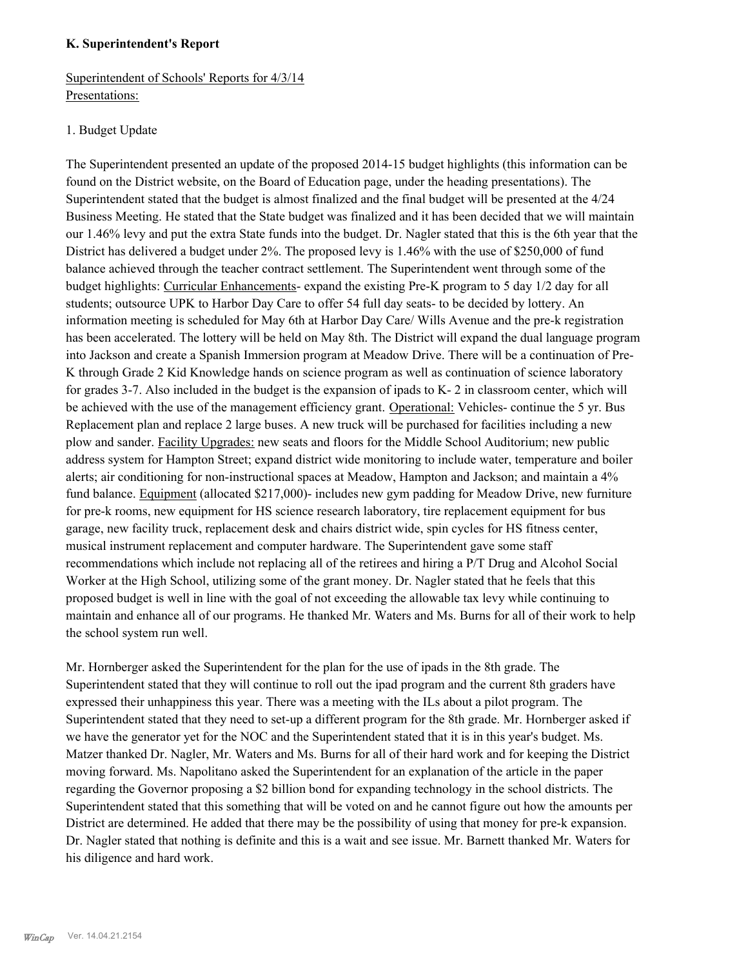#### **K. Superintendent's Report**

Superintendent of Schools' Reports for 4/3/14 Presentations:

#### 1. Budget Update

The Superintendent presented an update of the proposed 2014-15 budget highlights (this information can be found on the District website, on the Board of Education page, under the heading presentations). The Superintendent stated that the budget is almost finalized and the final budget will be presented at the 4/24 Business Meeting. He stated that the State budget was finalized and it has been decided that we will maintain our 1.46% levy and put the extra State funds into the budget. Dr. Nagler stated that this is the 6th year that the District has delivered a budget under 2%. The proposed levy is 1.46% with the use of \$250,000 of fund balance achieved through the teacher contract settlement. The Superintendent went through some of the budget highlights: Curricular Enhancements- expand the existing Pre-K program to 5 day 1/2 day for all students; outsource UPK to Harbor Day Care to offer 54 full day seats- to be decided by lottery. An information meeting is scheduled for May 6th at Harbor Day Care/ Wills Avenue and the pre-k registration has been accelerated. The lottery will be held on May 8th. The District will expand the dual language program into Jackson and create a Spanish Immersion program at Meadow Drive. There will be a continuation of Pre-K through Grade 2 Kid Knowledge hands on science program as well as continuation of science laboratory for grades 3-7. Also included in the budget is the expansion of ipads to K- 2 in classroom center, which will be achieved with the use of the management efficiency grant. Operational: Vehicles- continue the 5 yr. Bus Replacement plan and replace 2 large buses. A new truck will be purchased for facilities including a new plow and sander. Facility Upgrades: new seats and floors for the Middle School Auditorium; new public address system for Hampton Street; expand district wide monitoring to include water, temperature and boiler alerts; air conditioning for non-instructional spaces at Meadow, Hampton and Jackson; and maintain a 4% fund balance. Equipment (allocated \$217,000)- includes new gym padding for Meadow Drive, new furniture for pre-k rooms, new equipment for HS science research laboratory, tire replacement equipment for bus garage, new facility truck, replacement desk and chairs district wide, spin cycles for HS fitness center, musical instrument replacement and computer hardware. The Superintendent gave some staff recommendations which include not replacing all of the retirees and hiring a P/T Drug and Alcohol Social Worker at the High School, utilizing some of the grant money. Dr. Nagler stated that he feels that this proposed budget is well in line with the goal of not exceeding the allowable tax levy while continuing to maintain and enhance all of our programs. He thanked Mr. Waters and Ms. Burns for all of their work to help the school system run well.

Mr. Hornberger asked the Superintendent for the plan for the use of ipads in the 8th grade. The Superintendent stated that they will continue to roll out the ipad program and the current 8th graders have expressed their unhappiness this year. There was a meeting with the ILs about a pilot program. The Superintendent stated that they need to set-up a different program for the 8th grade. Mr. Hornberger asked if we have the generator yet for the NOC and the Superintendent stated that it is in this year's budget. Ms. Matzer thanked Dr. Nagler, Mr. Waters and Ms. Burns for all of their hard work and for keeping the District moving forward. Ms. Napolitano asked the Superintendent for an explanation of the article in the paper regarding the Governor proposing a \$2 billion bond for expanding technology in the school districts. The Superintendent stated that this something that will be voted on and he cannot figure out how the amounts per District are determined. He added that there may be the possibility of using that money for pre-k expansion. Dr. Nagler stated that nothing is definite and this is a wait and see issue. Mr. Barnett thanked Mr. Waters for his diligence and hard work.